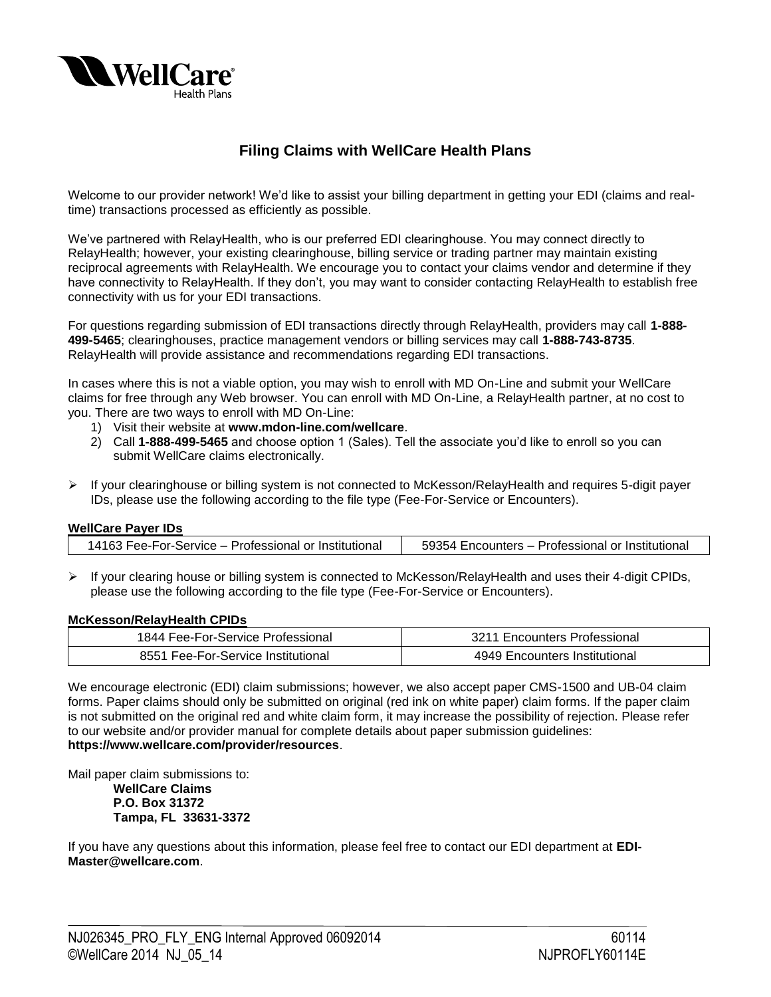

# **Filing Claims with WellCare Health Plans**

Welcome to our provider network! We'd like to assist your billing department in getting your EDI (claims and realtime) transactions processed as efficiently as possible.

We've partnered with RelayHealth, who is our preferred EDI clearinghouse. You may connect directly to RelayHealth; however, your existing clearinghouse, billing service or trading partner may maintain existing reciprocal agreements with RelayHealth. We encourage you to contact your claims vendor and determine if they have connectivity to RelayHealth. If they don't, you may want to consider contacting RelayHealth to establish free connectivity with us for your EDI transactions.

For questions regarding submission of EDI transactions directly through RelayHealth, providers may call **1-888- 499-5465**; clearinghouses, practice management vendors or billing services may call **1-888-743-8735**. RelayHealth will provide assistance and recommendations regarding EDI transactions.

In cases where this is not a viable option, you may wish to enroll with MD On-Line and submit your WellCare claims for free through any Web browser. You can enroll with MD On-Line, a RelayHealth partner, at no cost to you. There are two ways to enroll with MD On-Line:

- 1) Visit their website at **www.mdon-line.com/wellcare**.
- 2) Call **1-888-499-5465** and choose option 1 (Sales). Tell the associate you'd like to enroll so you can submit WellCare claims electronically.
- ▶ If your clearinghouse or billing system is not connected to McKesson/RelayHealth and requires 5-digit payer IDs, please use the following according to the file type (Fee-For-Service or Encounters).

#### **WellCare Payer IDs**

|  | 14163 Fee-For-Service – Professional or Institutional | 59354 Encounters - Professional or Institutional |
|--|-------------------------------------------------------|--------------------------------------------------|
|--|-------------------------------------------------------|--------------------------------------------------|

 $\triangleright$  If your clearing house or billing system is connected to McKesson/RelayHealth and uses their 4-digit CPIDs, please use the following according to the file type (Fee-For-Service or Encounters).

#### **McKesson/RelayHealth CPIDs**

| 1844 Fee-For-Service Professional  | <b>Encounters Professional</b> |
|------------------------------------|--------------------------------|
| 8551 Fee-For-Service Institutional | 4949 Encounters Institutional  |

We encourage electronic (EDI) claim submissions; however, we also accept paper CMS-1500 and UB-04 claim forms. Paper claims should only be submitted on original (red ink on white paper) claim forms. If the paper claim is not submitted on the original red and white claim form, it may increase the possibility of rejection. Please refer to our website and/or provider manual for complete details about paper submission guidelines: **https://www.wellcare.com/provider/resources**.

Mail paper claim submissions to:

**WellCare Claims P.O. Box 31372 Tampa, FL 33631-3372**

If you have any questions about this information, please feel free to contact our EDI department at **EDI-Master@wellcare.com**.